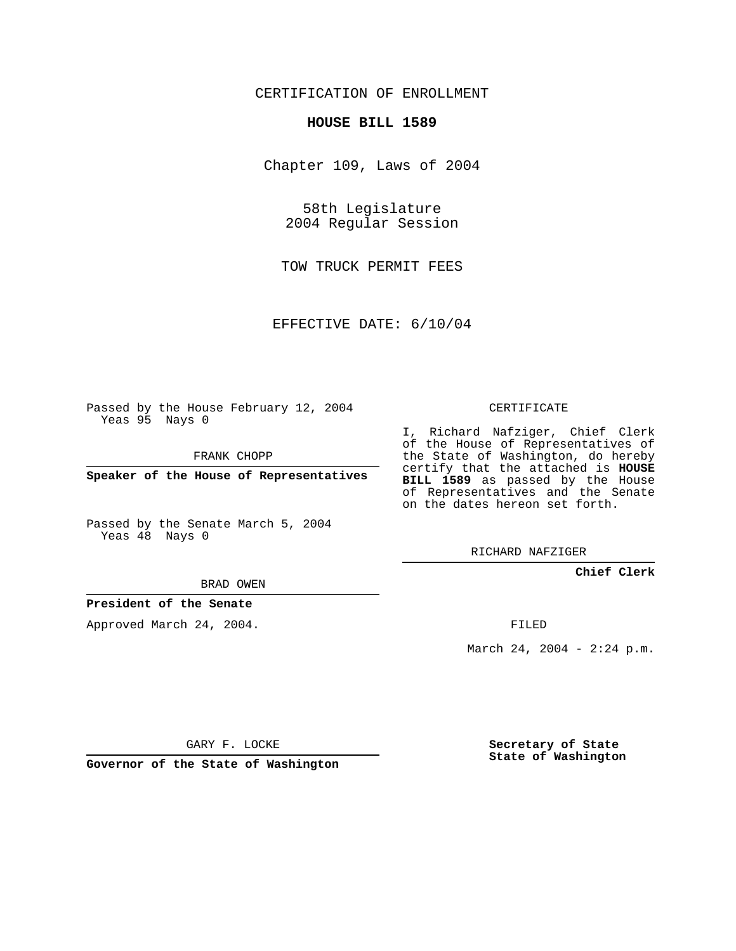# CERTIFICATION OF ENROLLMENT

### **HOUSE BILL 1589**

Chapter 109, Laws of 2004

58th Legislature 2004 Regular Session

TOW TRUCK PERMIT FEES

EFFECTIVE DATE: 6/10/04

Passed by the House February 12, 2004 Yeas 95 Nays 0

FRANK CHOPP

**Speaker of the House of Representatives**

Passed by the Senate March 5, 2004 Yeas 48 Nays 0

#### BRAD OWEN

## **President of the Senate**

Approved March 24, 2004.

CERTIFICATE

I, Richard Nafziger, Chief Clerk of the House of Representatives of the State of Washington, do hereby certify that the attached is **HOUSE BILL 1589** as passed by the House of Representatives and the Senate on the dates hereon set forth.

RICHARD NAFZIGER

## **Chief Clerk**

FILED

March 24, 2004 - 2:24 p.m.

GARY F. LOCKE

**Governor of the State of Washington**

**Secretary of State State of Washington**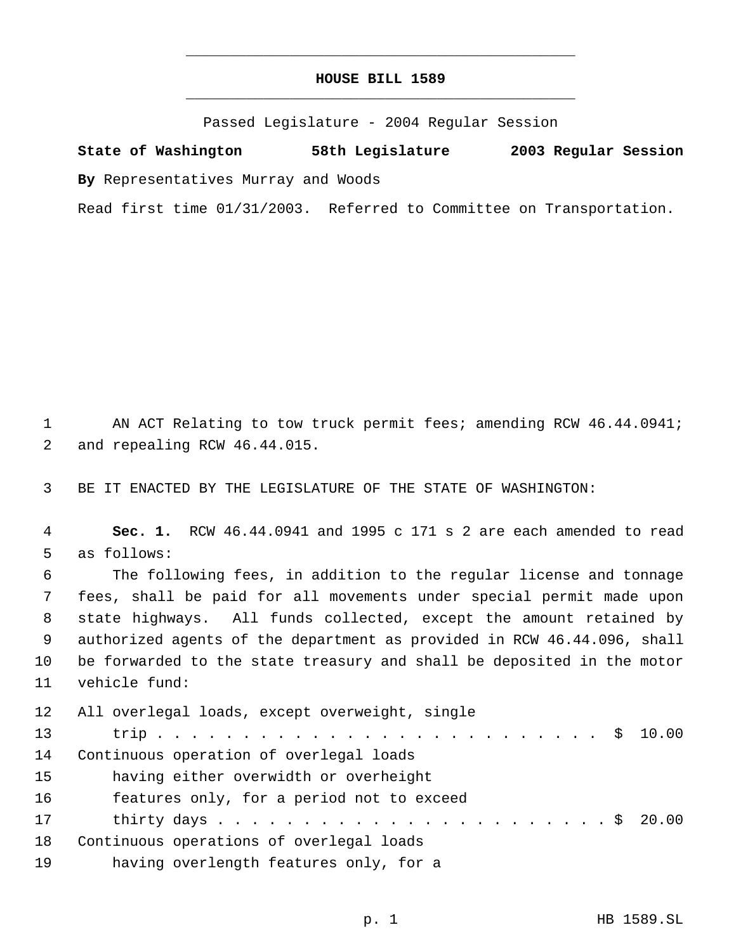# **HOUSE BILL 1589** \_\_\_\_\_\_\_\_\_\_\_\_\_\_\_\_\_\_\_\_\_\_\_\_\_\_\_\_\_\_\_\_\_\_\_\_\_\_\_\_\_\_\_\_\_

\_\_\_\_\_\_\_\_\_\_\_\_\_\_\_\_\_\_\_\_\_\_\_\_\_\_\_\_\_\_\_\_\_\_\_\_\_\_\_\_\_\_\_\_\_

Passed Legislature - 2004 Regular Session

**State of Washington 58th Legislature 2003 Regular Session By** Representatives Murray and Woods

Read first time 01/31/2003. Referred to Committee on Transportation.

1 AN ACT Relating to tow truck permit fees; amending RCW 46.44.0941; and repealing RCW 46.44.015.

BE IT ENACTED BY THE LEGISLATURE OF THE STATE OF WASHINGTON:

 **Sec. 1.** RCW 46.44.0941 and 1995 c 171 s 2 are each amended to read as follows: The following fees, in addition to the regular license and tonnage fees, shall be paid for all movements under special permit made upon state highways. All funds collected, except the amount retained by authorized agents of the department as provided in RCW 46.44.096, shall be forwarded to the state treasury and shall be deposited in the motor vehicle fund: All overlegal loads, except overweight, single

| 13              |                                           |
|-----------------|-------------------------------------------|
| 14              | Continuous operation of overlegal loads   |
| 15 <sub>1</sub> | having either overwidth or overheight     |
| 16              | features only, for a period not to exceed |
| 17              |                                           |
| 18              | Continuous operations of overlegal loads  |
| 19              | having overlength features only, for a    |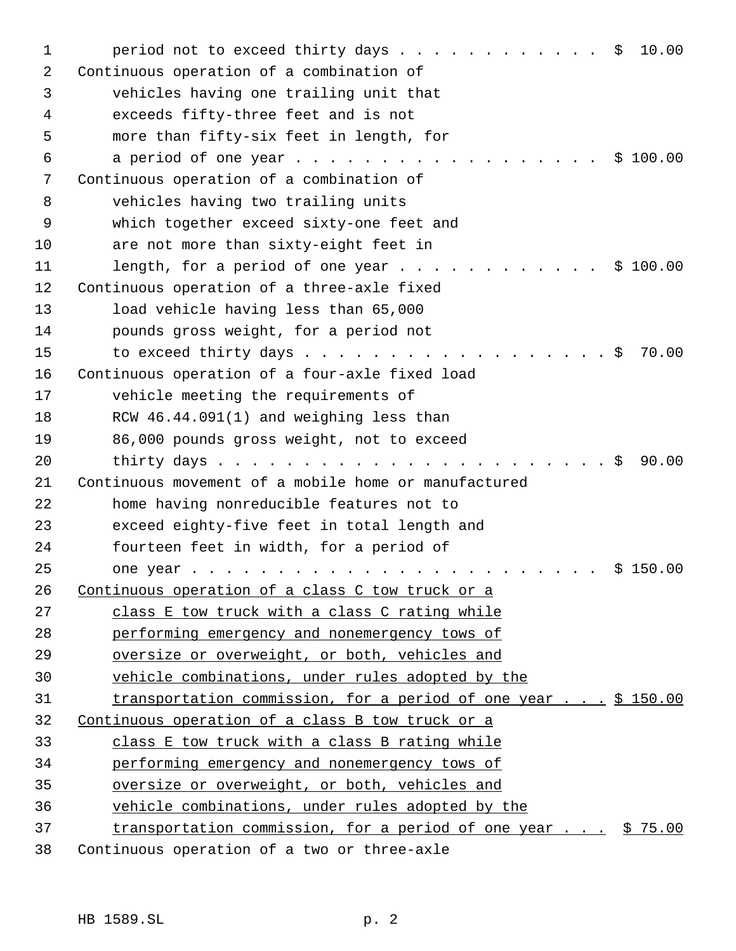| 1  | period not to exceed thirty days $\frac{1}{5}$<br>10.00                                 |
|----|-----------------------------------------------------------------------------------------|
| 2  | Continuous operation of a combination of                                                |
| 3  | vehicles having one trailing unit that                                                  |
| 4  | exceeds fifty-three feet and is not                                                     |
| 5  | more than fifty-six feet in length, for                                                 |
| 6  | a period of one year \$ 100.00                                                          |
| 7  | Continuous operation of a combination of                                                |
| 8  | vehicles having two trailing units                                                      |
| 9  | which together exceed sixty-one feet and                                                |
| 10 | are not more than sixty-eight feet in                                                   |
| 11 | length, for a period of one year \$ 100.00                                              |
| 12 | Continuous operation of a three-axle fixed                                              |
| 13 | load vehicle having less than 65,000                                                    |
| 14 | pounds gross weight, for a period not                                                   |
| 15 | 70.00<br>to exceed thirty days \$                                                       |
| 16 | Continuous operation of a four-axle fixed load                                          |
| 17 | vehicle meeting the requirements of                                                     |
| 18 | RCW 46.44.091(1) and weighing less than                                                 |
| 19 | 86,000 pounds gross weight, not to exceed                                               |
| 20 | 90.00<br>$\cdot$ \$                                                                     |
| 21 | Continuous movement of a mobile home or manufactured                                    |
| 22 | home having nonreducible features not to                                                |
| 23 | exceed eighty-five feet in total length and                                             |
| 24 | fourteen feet in width, for a period of                                                 |
| 25 | \$150.00<br>one year                                                                    |
| 26 | Continuous operation of a class C tow truck or a                                        |
| 27 | class E tow truck with a class C rating while                                           |
| 28 | performing emergency and nonemergency tows of                                           |
| 29 | oversize or overweight, or both, vehicles and                                           |
| 30 | vehicle combinations, under rules adopted by the                                        |
| 31 | transportation commission, for a period of one year \$ 150.00                           |
| 32 | Continuous operation of a class B tow truck or a                                        |
| 33 | class E tow truck with a class B rating while                                           |
| 34 | performing emergency and nonemergency tows of                                           |
| 35 | oversize or overweight, or both, vehicles and                                           |
| 36 | vehicle combinations, under rules adopted by the                                        |
| 37 | <u>transportation commission, for a period of one year <math>\ldots</math> \$ 75.00</u> |
| 38 | Continuous operation of a two or three-axle                                             |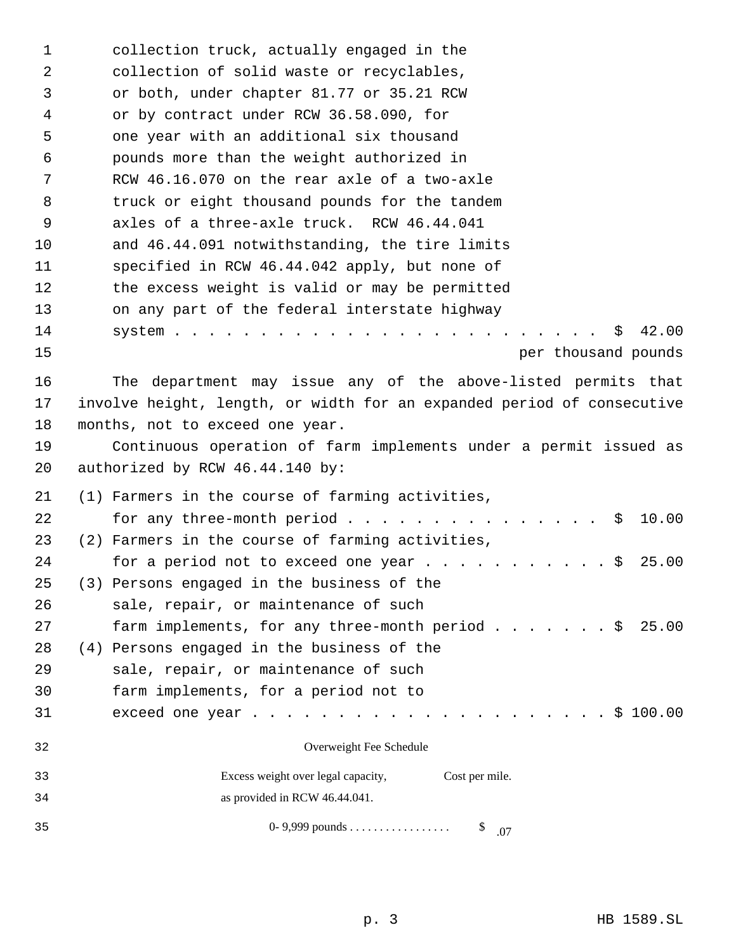| 1        | collection truck, actually engaged in the                              |
|----------|------------------------------------------------------------------------|
| 2        | collection of solid waste or recyclables,                              |
| 3        | or both, under chapter 81.77 or 35.21 RCW                              |
| 4        | or by contract under RCW 36.58.090, for                                |
| 5        | one year with an additional six thousand                               |
| 6        | pounds more than the weight authorized in                              |
| 7        | RCW 46.16.070 on the rear axle of a two-axle                           |
| 8        | truck or eight thousand pounds for the tandem                          |
| 9        | axles of a three-axle truck. RCW 46.44.041                             |
| 10       | and 46.44.091 notwithstanding, the tire limits                         |
| 11       | specified in RCW 46.44.042 apply, but none of                          |
| 12       | the excess weight is valid or may be permitted                         |
| 13       | on any part of the federal interstate highway                          |
| 14<br>15 | 42.00<br>S.                                                            |
|          | per thousand pounds                                                    |
| 16       | The department may issue any of the above-listed permits that          |
| 17       | involve height, length, or width for an expanded period of consecutive |
| 18       | months, not to exceed one year.                                        |
| 19       | Continuous operation of farm implements under a permit issued as       |
| 20       | authorized by RCW 46.44.140 by:                                        |
| 21       | (1) Farmers in the course of farming activities,                       |
| 22       | 10.00<br>\$                                                            |
| 23       | (2) Farmers in the course of farming activities,                       |
| 24       | for a period not to exceed one year \$<br>25.00                        |
| 25       | (3) Persons engaged in the business of the                             |
| 26       | sale, repair, or maintenance of such                                   |
| 27       | farm implements, for any three-month period \$<br>25.00                |
| 28       | (4) Persons engaged in the business of the                             |
| 29       | sale, repair, or maintenance of such                                   |
| 30       | farm implements, for a period not to                                   |
| 31       |                                                                        |
| 32       | Overweight Fee Schedule                                                |
| 33       | Excess weight over legal capacity,<br>Cost per mile.                   |
| 34       | as provided in RCW 46.44.041.                                          |
| 35       | \$.07                                                                  |